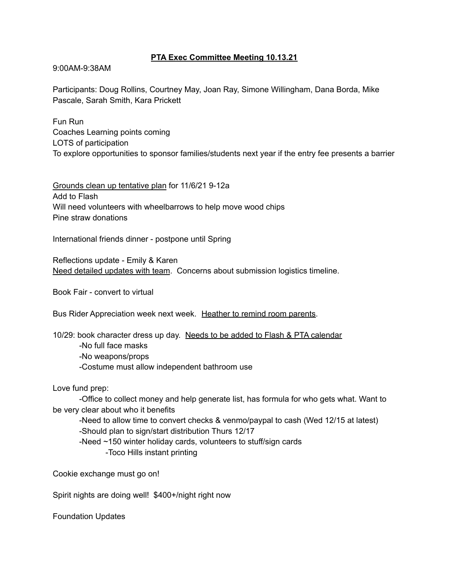## **PTA Exec Committee Meeting 10.13.21**

9:00AM-9:38AM

Participants: Doug Rollins, Courtney May, Joan Ray, Simone Willingham, Dana Borda, Mike Pascale, Sarah Smith, Kara Prickett

Fun Run Coaches Learning points coming LOTS of participation To explore opportunities to sponsor families/students next year if the entry fee presents a barrier

Grounds clean up tentative plan for 11/6/21 9-12a Add to Flash Will need volunteers with wheelbarrows to help move wood chips Pine straw donations

International friends dinner - postpone until Spring

Reflections update - Emily & Karen Need detailed updates with team. Concerns about submission logistics timeline.

Book Fair - convert to virtual

Bus Rider Appreciation week next week. Heather to remind room parents.

10/29: book character dress up day. Needs to be added to Flash & PTA calendar -No full face masks -No weapons/props -Costume must allow independent bathroom use

Love fund prep:

-Office to collect money and help generate list, has formula for who gets what. Want to be very clear about who it benefits

-Need to allow time to convert checks & venmo/paypal to cash (Wed 12/15 at latest) -Should plan to sign/start distribution Thurs 12/17

-Need ~150 winter holiday cards, volunteers to stuff/sign cards

-Toco Hills instant printing

Cookie exchange must go on!

Spirit nights are doing well! \$400+/night right now

Foundation Updates